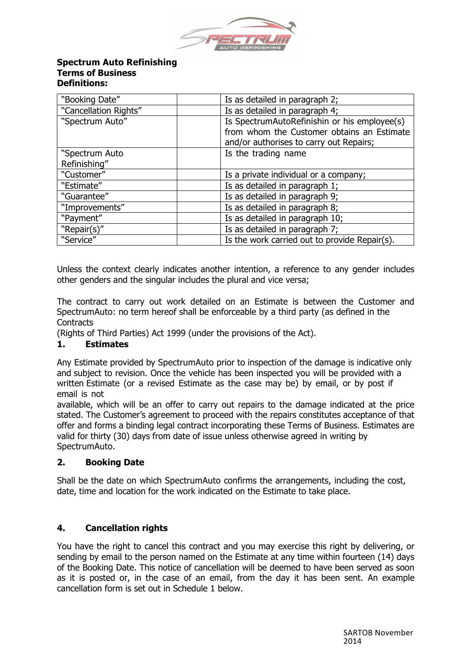

#### **Spectrum Auto Refinishing Terms of Business Definitions:**

| "Booking Date"                 | Is as detailed in paragraph 2;                                                                                                        |
|--------------------------------|---------------------------------------------------------------------------------------------------------------------------------------|
| "Cancellation Rights"          | Is as detailed in paragraph 4;                                                                                                        |
| "Spectrum Auto"                | Is SpectrumAutoRefinishin or his employee(s)<br>from whom the Customer obtains an Estimate<br>and/or authorises to carry out Repairs; |
| "Spectrum Auto<br>Refinishing" | Is the trading name                                                                                                                   |
| "Customer"                     | Is a private individual or a company;                                                                                                 |
| "Estimate"                     | Is as detailed in paragraph 1;                                                                                                        |
| "Guarantee"                    | Is as detailed in paragraph 9;                                                                                                        |
| "Improvements"                 | Is as detailed in paragraph 8;                                                                                                        |
| "Payment"                      | Is as detailed in paragraph 10;                                                                                                       |
| "Repair(s)"                    | Is as detailed in paragraph 7;                                                                                                        |
| "Service"                      | Is the work carried out to provide Repair(s).                                                                                         |

Unless the context clearly indicates another intention, a reference to any gender includes other genders and the singular includes the plural and vice versa;

The contract to carry out work detailed on an Estimate is between the Customer and SpectrumAuto: no term hereof shall be enforceable by a third party (as defined in the **Contracts** 

(Rights of Third Parties) Act 1999 (under the provisions of the Act).

## **1. Estimates**

Any Estimate provided by SpectrumAuto prior to inspection of the damage is indicative only and subject to revision. Once the vehicle has been inspected you will be provided with a written Estimate (or a revised Estimate as the case may be) by email, or by post if email is not

available, which will be an offer to carry out repairs to the damage indicated at the price stated. The Customer's agreement to proceed with the repairs constitutes acceptance of that offer and forms a binding legal contract incorporating these Terms of Business. Estimates are valid for thirty (30) days from date of issue unless otherwise agreed in writing by SpectrumAuto.

## **2. Booking Date**

Shall be the date on which SpectrumAuto confirms the arrangements, including the cost, date, time and location for the work indicated on the Estimate to take place.

## **4. Cancellation rights**

You have the right to cancel this contract and you may exercise this right by delivering, or sending by email to the person named on the Estimate at any time within fourteen (14) days of the Booking Date. This notice of cancellation will be deemed to have been served as soon as it is posted or, in the case of an email, from the day it has been sent. An example cancellation form is set out in Schedule 1 below.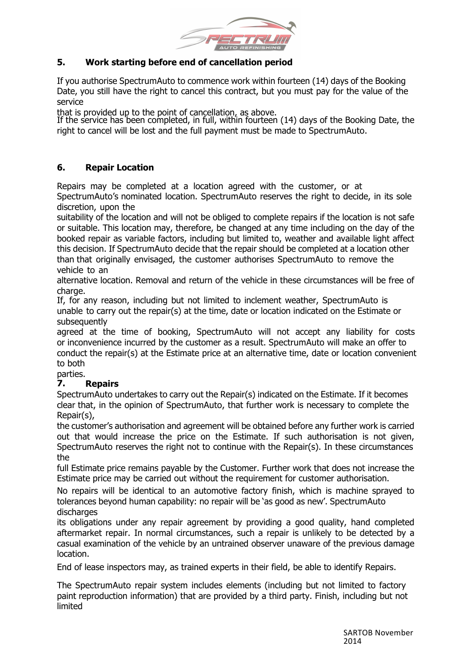

## **5. Work starting before end of cancellation period**

If you authorise SpectrumAuto to commence work within fourteen (14) days of the Booking Date, you still have the right to cancel this contract, but you must pay for the value of the service

that is provided up to the point of cancellation, as above.

If the service has been completed, in full, within fourteen (14) days of the Booking Date, the right to cancel will be lost and the full payment must be made to SpectrumAuto.

## **6. Repair Location**

Repairs may be completed at a location agreed with the customer, or at SpectrumAuto's nominated location. SpectrumAuto reserves the right to decide, in its sole discretion, upon the

suitability of the location and will not be obliged to complete repairs if the location is not safe or suitable. This location may, therefore, be changed at any time including on the day of the booked repair as variable factors, including but limited to, weather and available light affect this decision. If SpectrumAuto decide that the repair should be completed at a location other than that originally envisaged, the customer authorises SpectrumAuto to remove the vehicle to an

alternative location. Removal and return of the vehicle in these circumstances will be free of charge.

If, for any reason, including but not limited to inclement weather, SpectrumAuto is unable to carry out the repair(s) at the time, date or location indicated on the Estimate or subsequently

agreed at the time of booking, SpectrumAuto will not accept any liability for costs or inconvenience incurred by the customer as a result. SpectrumAuto will make an offer to conduct the repair(s) at the Estimate price at an alternative time, date or location convenient to both

parties.

# **7. Repairs**

SpectrumAuto undertakes to carry out the Repair(s) indicated on the Estimate. If it becomes clear that, in the opinion of SpectrumAuto, that further work is necessary to complete the Repair(s),

the customer's authorisation and agreement will be obtained before any further work is carried out that would increase the price on the Estimate. If such authorisation is not given, SpectrumAuto reserves the right not to continue with the Repair(s). In these circumstances the

full Estimate price remains payable by the Customer. Further work that does not increase the Estimate price may be carried out without the requirement for customer authorisation.

No repairs will be identical to an automotive factory finish, which is machine sprayed to tolerances beyond human capability: no repair will be 'as good as new'. SpectrumAuto discharges

its obligations under any repair agreement by providing a good quality, hand completed aftermarket repair. In normal circumstances, such a repair is unlikely to be detected by a casual examination of the vehicle by an untrained observer unaware of the previous damage location.

End of lease inspectors may, as trained experts in their field, be able to identify Repairs.

The SpectrumAuto repair system includes elements (including but not limited to factory paint reproduction information) that are provided by a third party. Finish, including but not limited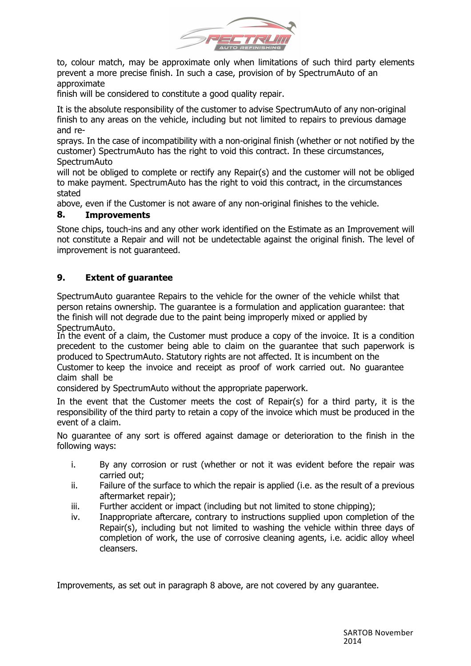

to, colour match, may be approximate only when limitations of such third party elements prevent a more precise finish. In such a case, provision of by SpectrumAuto of an approximate

finish will be considered to constitute a good quality repair.

It is the absolute responsibility of the customer to advise SpectrumAuto of any non-original finish to any areas on the vehicle, including but not limited to repairs to previous damage and re-

sprays. In the case of incompatibility with a non-original finish (whether or not notified by the customer) SpectrumAuto has the right to void this contract. In these circumstances, **SpectrumAuto** 

will not be obliged to complete or rectify any Repair(s) and the customer will not be obliged to make payment. SpectrumAuto has the right to void this contract, in the circumstances stated

above, even if the Customer is not aware of any non-original finishes to the vehicle.

### **8. Improvements**

Stone chips, touch-ins and any other work identified on the Estimate as an Improvement will not constitute a Repair and will not be undetectable against the original finish. The level of improvement is not guaranteed.

### **9. Extent of guarantee**

SpectrumAuto guarantee Repairs to the vehicle for the owner of the vehicle whilst that person retains ownership. The guarantee is a formulation and application guarantee: that the finish will not degrade due to the paint being improperly mixed or applied by SpectrumAuto.

In the event of a claim, the Customer must produce a copy of the invoice. It is a condition precedent to the customer being able to claim on the guarantee that such paperwork is produced to SpectrumAuto. Statutory rights are not affected. It is incumbent on the Customer to keep the invoice and receipt as proof of work carried out. No guarantee claim shall be

considered by SpectrumAuto without the appropriate paperwork.

In the event that the Customer meets the cost of Repair(s) for a third party, it is the responsibility of the third party to retain a copy of the invoice which must be produced in the event of a claim.

No guarantee of any sort is offered against damage or deterioration to the finish in the following ways:

- i. By any corrosion or rust (whether or not it was evident before the repair was carried out;
- ii. Failure of the surface to which the repair is applied (i.e. as the result of a previous aftermarket repair);
- iii. Further accident or impact (including but not limited to stone chipping);
- iv. Inappropriate aftercare, contrary to instructions supplied upon completion of the Repair(s), including but not limited to washing the vehicle within three days of completion of work, the use of corrosive cleaning agents, i.e. acidic alloy wheel cleansers.

Improvements, as set out in paragraph 8 above, are not covered by any guarantee.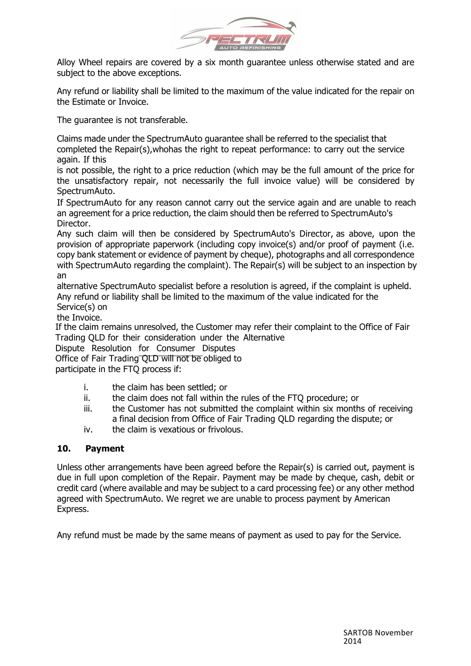

Alloy Wheel repairs are covered by a six month guarantee unless otherwise stated and are subject to the above exceptions.

Any refund or liability shall be limited to the maximum of the value indicated for the repair on the Estimate or Invoice.

The quarantee is not transferable.

Claims made under the SpectrumAuto guarantee shall be referred to the specialist that completed the Repair(s),whohas the right to repeat performance: to carry out the service again. If this

is not possible, the right to a price reduction (which may be the full amount of the price for the unsatisfactory repair, not necessarily the full invoice value) will be considered by SpectrumAuto.

If SpectrumAuto for any reason cannot carry out the service again and are unable to reach an agreement for a price reduction, the claim should then be referred to SpectrumAuto's Director.

Any such claim will then be considered by SpectrumAuto's Director, as above, upon the provision of appropriate paperwork (including copy invoice(s) and/or proof of payment (i.e. copy bank statement or evidence of payment by cheque), photographs and all correspondence with SpectrumAuto regarding the complaint). The Repair(s) will be subject to an inspection by an

alternative SpectrumAuto specialist before a resolution is agreed, if the complaint is upheld. Any refund or liability shall be limited to the maximum of the value indicated for the Service(s) on

the Invoice.

If the claim remains unresolved, the Customer may refer their complaint to the Office of Fair Trading QLD for their consideration under the Alternative

Dispute Resolution for Consumer Disputes

Office of Fair Trading QLD will not be obliged to

participate in the FTQ process if:

- i. the claim has been settled; or
- ii. the claim does not fall within the rules of the FTQ procedure; or
- iii. the Customer has not submitted the complaint within six months of receiving a final decision from Office of Fair Trading QLD regarding the dispute; or
- iv. the claim is vexatious or frivolous.

#### **10. Payment**

Unless other arrangements have been agreed before the Repair(s) is carried out, payment is due in full upon completion of the Repair. Payment may be made by cheque, cash, debit or credit card (where available and may be subject to a card processing fee) or any other method agreed with SpectrumAuto. We regret we are unable to process payment by American Express.

Any refund must be made by the same means of payment as used to pay for the Service.